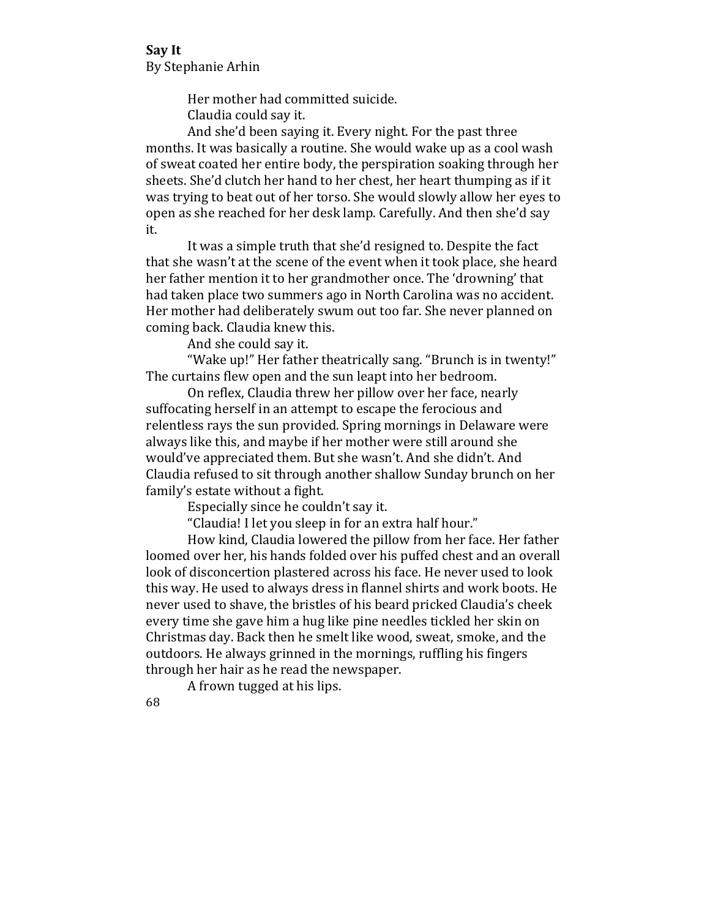Her mother had committed suicide. Claudia could say it.

And she'd been saying it. Every night. For the past three months. It was basically a routine. She would wake up as a cool wash of sweat coated her entire body, the perspiration soaking through her sheets. She'd clutch her hand to her chest, her heart thumping as if it was trying to beat out of her torso. She would slowly allow her eyes to open as she reached for her desk lamp. Carefully. And then she'd say it. 

It was a simple truth that she'd resigned to. Despite the fact that she wasn't at the scene of the event when it took place, she heard her father mention it to her grandmother once. The 'drowning' that had taken place two summers ago in North Carolina was no accident. Her mother had deliberately swum out too far. She never planned on coming back. Claudia knew this.

And she could say it.

"Wake up!" Her father theatrically sang. "Brunch is in twenty!" The curtains flew open and the sun leapt into her bedroom.

On reflex, Claudia threw her pillow over her face, nearly suffocating herself in an attempt to escape the ferocious and relentless rays the sun provided. Spring mornings in Delaware were always like this, and maybe if her mother were still around she would've appreciated them. But she wasn't. And she didn't. And Claudia refused to sit through another shallow Sunday brunch on her family's estate without a fight.

Especially since he couldn't say it.

"Claudia! I let you sleep in for an extra half hour."

How kind, Claudia lowered the pillow from her face. Her father loomed over her, his hands folded over his puffed chest and an overall look of disconcertion plastered across his face. He never used to look this way. He used to always dress in flannel shirts and work boots. He never used to shave, the bristles of his beard pricked Claudia's cheek every time she gave him a hug like pine needles tickled her skin on Christmas day. Back then he smelt like wood, sweat, smoke, and the outdoors. He always grinned in the mornings, ruffling his fingers through her hair as he read the newspaper.

A frown tugged at his lips.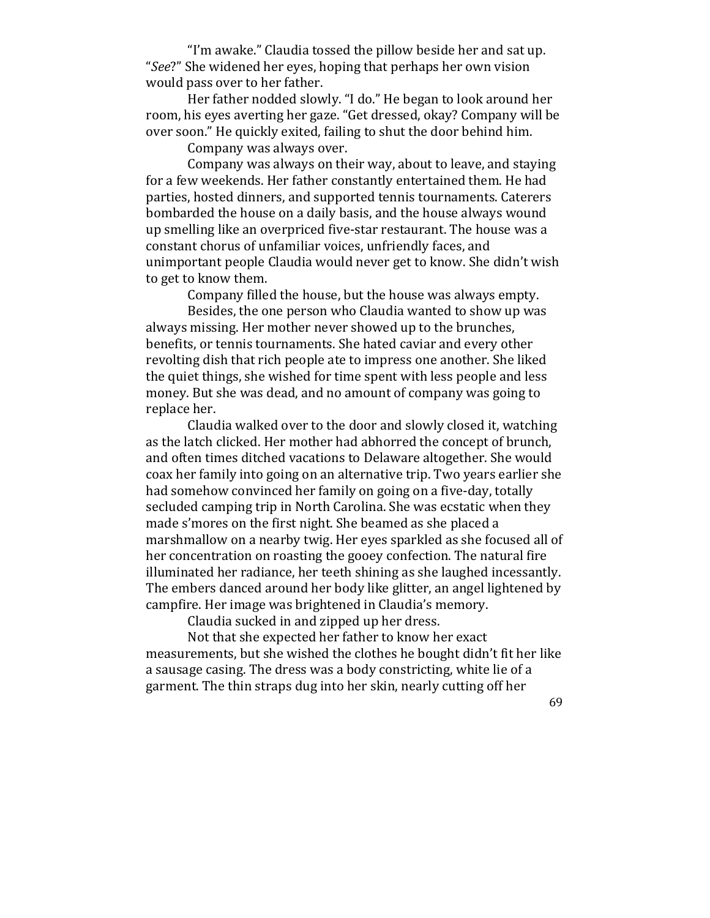"I'm awake." Claudia tossed the pillow beside her and sat up. "See?" She widened her eyes, hoping that perhaps her own vision would pass over to her father.

Her father nodded slowly. "I do." He began to look around her room, his eyes averting her gaze. "Get dressed, okay? Company will be over soon." He quickly exited, failing to shut the door behind him.

Company was always over.

Company was always on their way, about to leave, and staying for a few weekends. Her father constantly entertained them. He had parties, hosted dinners, and supported tennis tournaments. Caterers bombarded the house on a daily basis, and the house always wound up smelling like an overpriced five-star restaurant. The house was a constant chorus of unfamiliar voices, unfriendly faces, and unimportant people Claudia would never get to know. She didn't wish to get to know them.

Company filled the house, but the house was always empty.

Besides, the one person who Claudia wanted to show up was always missing. Her mother never showed up to the brunches, benefits, or tennis tournaments. She hated caviar and every other revolting dish that rich people ate to impress one another. She liked the quiet things, she wished for time spent with less people and less money. But she was dead, and no amount of company was going to replace her.

Claudia walked over to the door and slowly closed it, watching as the latch clicked. Her mother had abhorred the concept of brunch, and often times ditched vacations to Delaware altogether. She would coax her family into going on an alternative trip. Two years earlier she had somehow convinced her family on going on a five-day, totally secluded camping trip in North Carolina. She was ecstatic when they made s'mores on the first night. She beamed as she placed a marshmallow on a nearby twig. Her eyes sparkled as she focused all of her concentration on roasting the gooey confection. The natural fire illuminated her radiance, her teeth shining as she laughed incessantly. The embers danced around her body like glitter, an angel lightened by campfire. Her image was brightened in Claudia's memory.

Claudia sucked in and zipped up her dress.

Not that she expected her father to know her exact measurements, but she wished the clothes he bought didn't fit her like a sausage casing. The dress was a body constricting, white lie of a garment. The thin straps dug into her skin, nearly cutting off her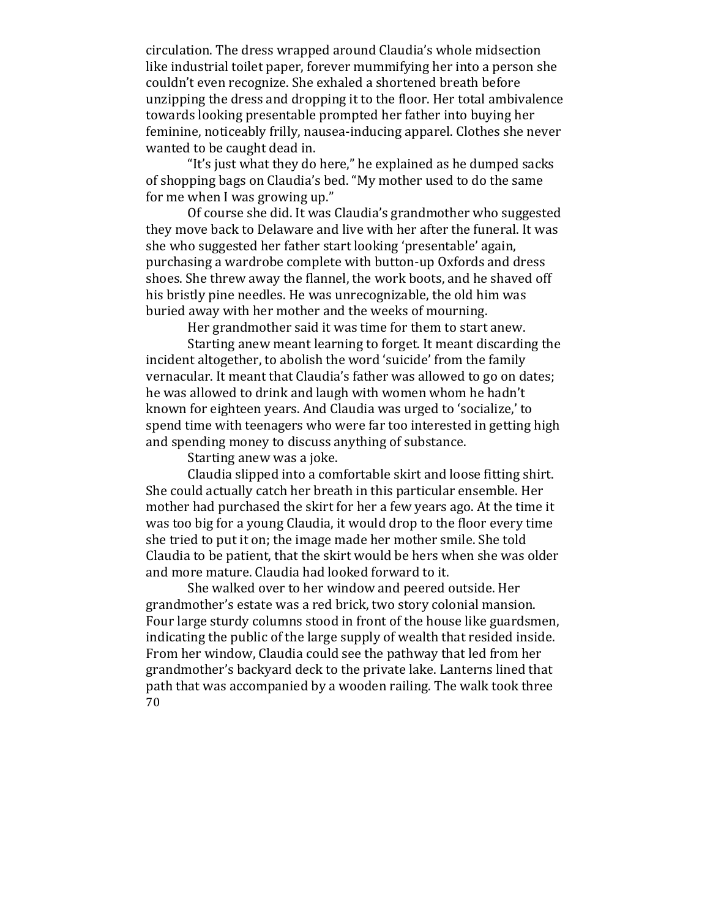circulation. The dress wrapped around Claudia's whole midsection like industrial toilet paper, forever mummifying her into a person she couldn't even recognize. She exhaled a shortened breath before unzipping the dress and dropping it to the floor. Her total ambivalence towards looking presentable prompted her father into buying her feminine, noticeably frilly, nausea-inducing apparel. Clothes she never wanted to be caught dead in.

"It's just what they do here," he explained as he dumped sacks of shopping bags on Claudia's bed. "My mother used to do the same for me when I was growing up."

Of course she did. It was Claudia's grandmother who suggested they move back to Delaware and live with her after the funeral. It was she who suggested her father start looking 'presentable' again, purchasing a wardrobe complete with button-up Oxfords and dress shoes. She threw away the flannel, the work boots, and he shaved off his bristly pine needles. He was unrecognizable, the old him was buried away with her mother and the weeks of mourning.

Her grandmother said it was time for them to start anew.

Starting anew meant learning to forget. It meant discarding the incident altogether, to abolish the word 'suicide' from the family vernacular. It meant that Claudia's father was allowed to go on dates; he was allowed to drink and laugh with women whom he hadn't known for eighteen vears. And Claudia was urged to 'socialize.' to spend time with teenagers who were far too interested in getting high and spending money to discuss anything of substance.

Starting anew was a joke.

Claudia slipped into a comfortable skirt and loose fitting shirt. She could actually catch her breath in this particular ensemble. Her mother had purchased the skirt for her a few years ago. At the time it was too big for a young Claudia, it would drop to the floor every time she tried to put it on; the image made her mother smile. She told Claudia to be patient, that the skirt would be hers when she was older and more mature. Claudia had looked forward to it.

70 She walked over to her window and peered outside. Her grandmother's estate was a red brick, two story colonial mansion. Four large sturdy columns stood in front of the house like guardsmen, indicating the public of the large supply of wealth that resided inside. From her window, Claudia could see the pathway that led from her grandmother's backyard deck to the private lake. Lanterns lined that path that was accompanied by a wooden railing. The walk took three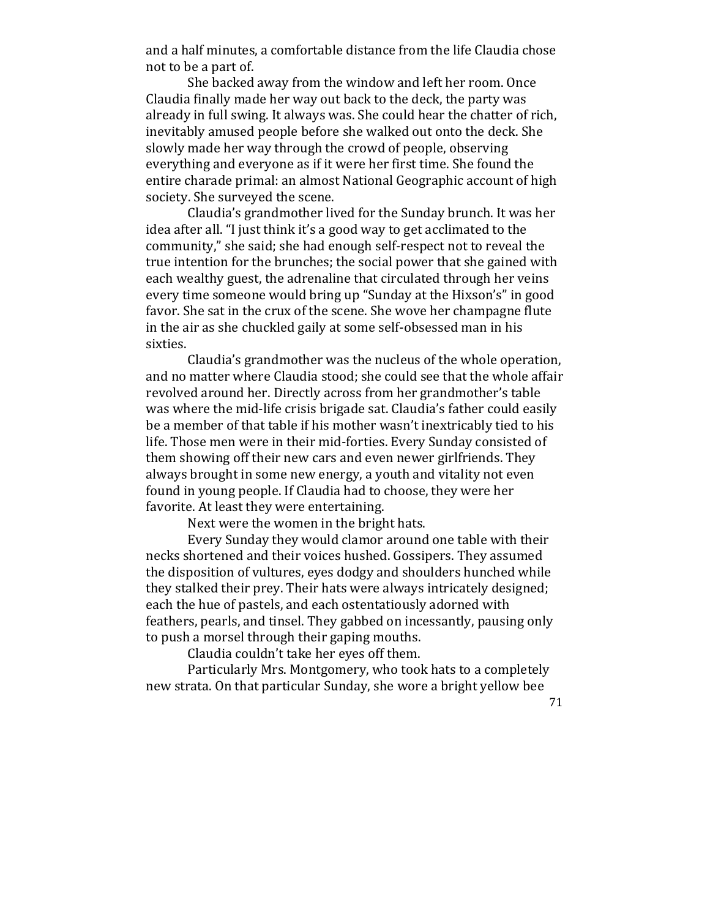and a half minutes, a comfortable distance from the life Claudia chose not to be a part of.

She backed away from the window and left her room. Once Claudia finally made her way out back to the deck, the party was already in full swing. It always was. She could hear the chatter of rich, inevitably amused people before she walked out onto the deck. She slowly made her way through the crowd of people, observing everything and everyone as if it were her first time. She found the entire charade primal: an almost National Geographic account of high society. She surveyed the scene.

Claudia's grandmother lived for the Sunday brunch. It was her idea after all. "I just think it's a good way to get acclimated to the community," she said; she had enough self-respect not to reveal the true intention for the brunches; the social power that she gained with each wealthy guest, the adrenaline that circulated through her veins every time someone would bring up "Sunday at the Hixson's" in good favor. She sat in the crux of the scene. She wove her champagne flute in the air as she chuckled gaily at some self-obsessed man in his sixties.

Claudia's grandmother was the nucleus of the whole operation, and no matter where Claudia stood; she could see that the whole affair revolved around her. Directly across from her grandmother's table was where the mid-life crisis brigade sat. Claudia's father could easily be a member of that table if his mother wasn't inextricably tied to his life. Those men were in their mid-forties. Every Sunday consisted of them showing off their new cars and even newer girlfriends. They always brought in some new energy, a youth and vitality not even found in young people. If Claudia had to choose, they were her favorite. At least they were entertaining.

Next were the women in the bright hats.

Every Sunday they would clamor around one table with their necks shortened and their voices hushed. Gossipers. They assumed the disposition of vultures, eves dodgy and shoulders hunched while they stalked their prey. Their hats were always intricately designed; each the hue of pastels, and each ostentatiously adorned with feathers, pearls, and tinsel. They gabbed on incessantly, pausing only to push a morsel through their gaping mouths.

Claudia couldn't take her eyes off them.

Particularly Mrs. Montgomery, who took hats to a completely new strata. On that particular Sunday, she wore a bright yellow bee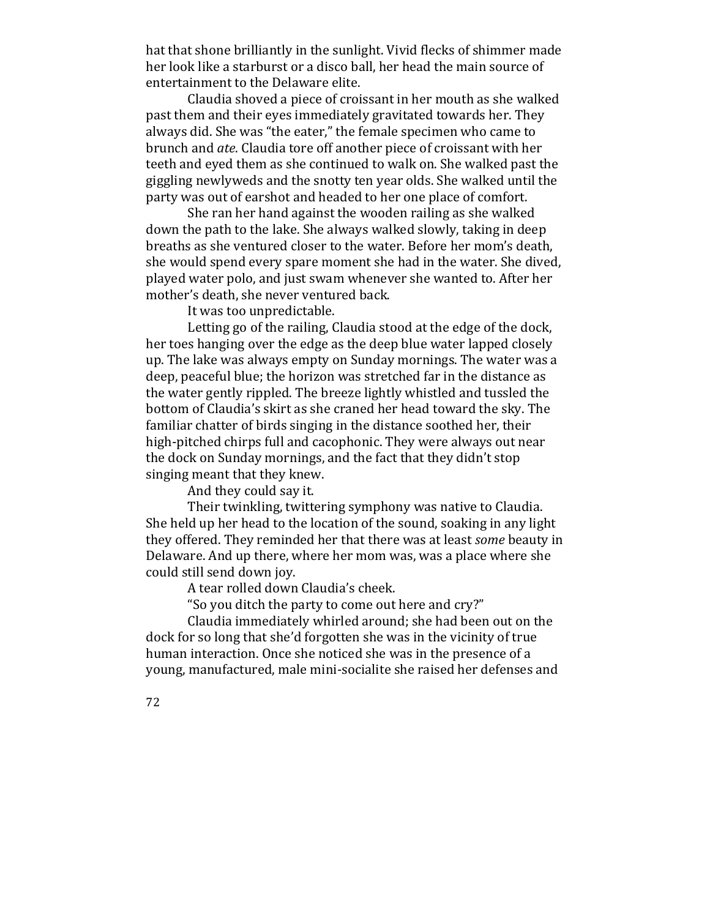hat that shone brilliantly in the sunlight. Vivid flecks of shimmer made her look like a starburst or a disco ball, her head the main source of entertainment to the Delaware elite.

Claudia shoved a piece of croissant in her mouth as she walked past them and their eyes immediately gravitated towards her. They always did. She was "the eater," the female specimen who came to brunch and *ate*. Claudia tore off another piece of croissant with her teeth and eyed them as she continued to walk on. She walked past the giggling newlyweds and the snotty ten year olds. She walked until the party was out of earshot and headed to her one place of comfort.

She ran her hand against the wooden railing as she walked down the path to the lake. She always walked slowly, taking in deep breaths as she ventured closer to the water. Before her mom's death, she would spend every spare moment she had in the water. She dived, played water polo, and just swam whenever she wanted to. After her mother's death, she never ventured back.

It was too unpredictable.

Letting go of the railing, Claudia stood at the edge of the dock, her toes hanging over the edge as the deep blue water lapped closely up. The lake was always empty on Sunday mornings. The water was a deep, peaceful blue; the horizon was stretched far in the distance as the water gently rippled. The breeze lightly whistled and tussled the bottom of Claudia's skirt as she craned her head toward the sky. The familiar chatter of birds singing in the distance soothed her, their high-pitched chirps full and cacophonic. They were always out near the dock on Sunday mornings, and the fact that they didn't stop singing meant that they knew.

And they could say it.

Their twinkling, twittering symphony was native to Claudia. She held up her head to the location of the sound, soaking in any light they offered. They reminded her that there was at least *some* beauty in Delaware. And up there, where her mom was, was a place where she could still send down joy.

A tear rolled down Claudia's cheek.

"So you ditch the party to come out here and cry?"

Claudia immediately whirled around; she had been out on the dock for so long that she'd forgotten she was in the vicinity of true human interaction. Once she noticed she was in the presence of a young, manufactured, male mini-socialite she raised her defenses and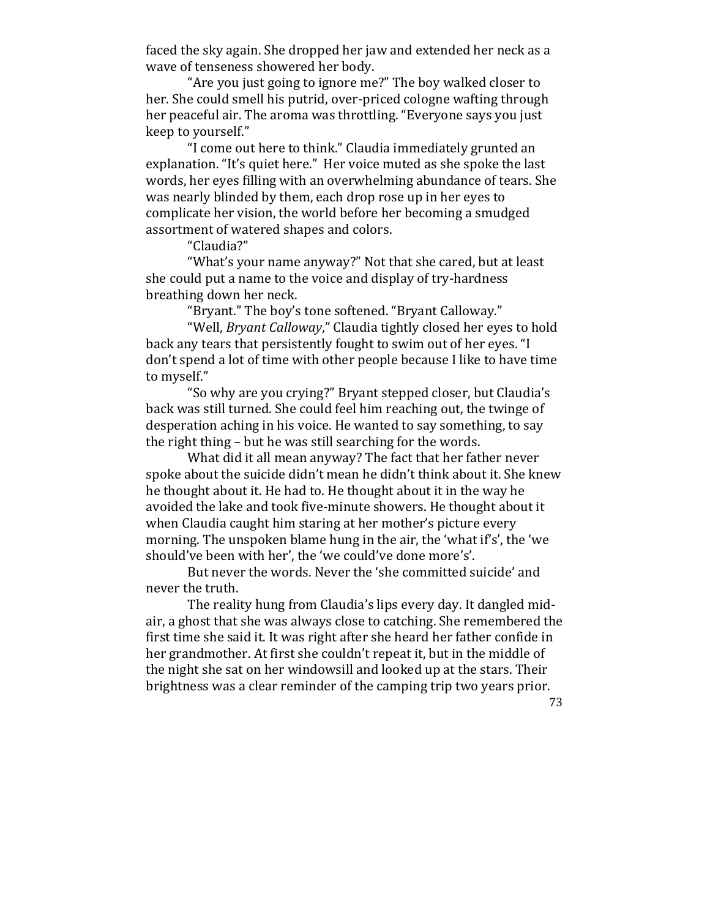faced the sky again. She dropped her jaw and extended her neck as a wave of tenseness showered her body.

"Are you just going to ignore me?" The boy walked closer to her. She could smell his putrid, over-priced cologne wafting through her peaceful air. The aroma was throttling. "Everyone says you just keep to yourself."

"I come out here to think." Claudia immediately grunted an explanation. "It's quiet here." Her voice muted as she spoke the last words, her eyes filling with an overwhelming abundance of tears. She was nearly blinded by them, each drop rose up in her eyes to complicate her vision, the world before her becoming a smudged assortment of watered shapes and colors.

"Claudia?"

"What's your name anyway?" Not that she cared, but at least she could put a name to the voice and display of try-hardness breathing down her neck.

"Bryant." The boy's tone softened. "Bryant Calloway."

"Well, *Bryant Calloway*," Claudia tightly closed her eyes to hold back any tears that persistently fought to swim out of her eyes. "I don't spend a lot of time with other people because I like to have time to myself."

"So why are you crying?" Bryant stepped closer, but Claudia's back was still turned. She could feel him reaching out, the twinge of desperation aching in his voice. He wanted to say something, to say the right thing  $-$  but he was still searching for the words.

What did it all mean anyway? The fact that her father never spoke about the suicide didn't mean he didn't think about it. She knew he thought about it. He had to. He thought about it in the way he avoided the lake and took five-minute showers. He thought about it when Claudia caught him staring at her mother's picture every morning. The unspoken blame hung in the air, the 'what if's', the 'we should've been with her', the 'we could've done more's'.

But never the words. Never the 'she committed suicide' and never the truth.

The reality hung from Claudia's lips every day. It dangled midair, a ghost that she was always close to catching. She remembered the first time she said it. It was right after she heard her father confide in her grandmother. At first she couldn't repeat it, but in the middle of the night she sat on her windowsill and looked up at the stars. Their brightness was a clear reminder of the camping trip two years prior.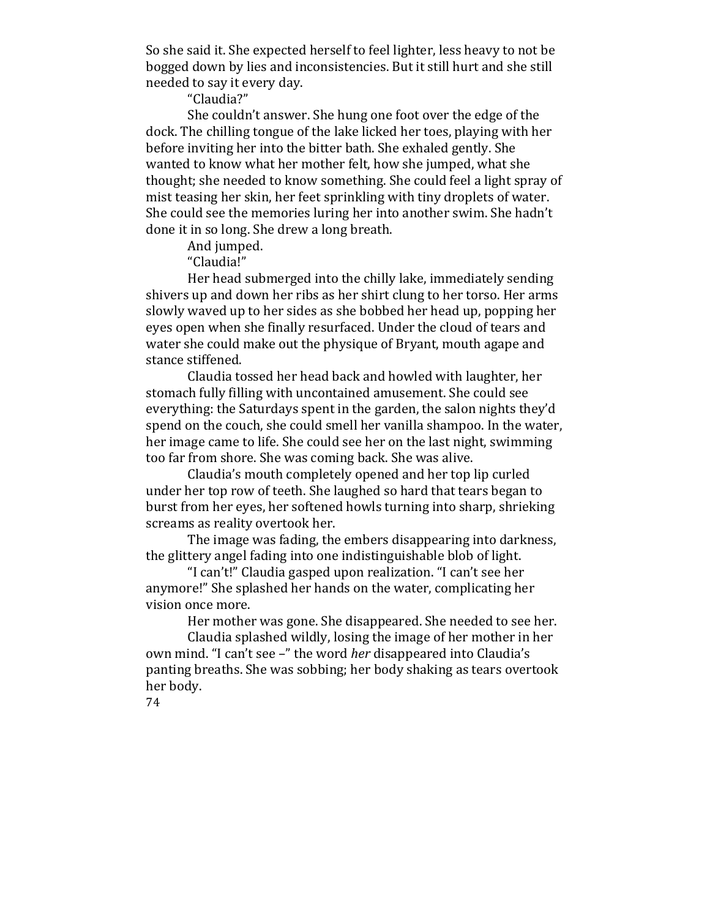So she said it. She expected herself to feel lighter, less heavy to not be bogged down by lies and inconsistencies. But it still hurt and she still needed to say it every day.

"Claudia?"

She couldn't answer. She hung one foot over the edge of the dock. The chilling tongue of the lake licked her toes, playing with her before inviting her into the bitter bath. She exhaled gently. She wanted to know what her mother felt, how she jumped, what she thought; she needed to know something. She could feel a light spray of mist teasing her skin, her feet sprinkling with tiny droplets of water. She could see the memories luring her into another swim. She hadn't done it in so long. She drew a long breath.

And jumped.

"Claudia!"

Her head submerged into the chilly lake, immediately sending shivers up and down her ribs as her shirt clung to her torso. Her arms slowly waved up to her sides as she bobbed her head up, popping her eyes open when she finally resurfaced. Under the cloud of tears and water she could make out the physique of Bryant, mouth agape and stance stiffened.

Claudia tossed her head back and howled with laughter, her stomach fully filling with uncontained amusement. She could see everything: the Saturdays spent in the garden, the salon nights they'd spend on the couch, she could smell her vanilla shampoo. In the water, her image came to life. She could see her on the last night, swimming too far from shore. She was coming back. She was alive.

Claudia's mouth completely opened and her top lip curled under her top row of teeth. She laughed so hard that tears began to burst from her eyes, her softened howls turning into sharp, shrieking screams as reality overtook her.

The image was fading, the embers disappearing into darkness, the glittery angel fading into one indistinguishable blob of light.

"I can't!" Claudia gasped upon realization. "I can't see her anymore!" She splashed her hands on the water, complicating her vision once more.

Her mother was gone. She disappeared. She needed to see her.

Claudia splashed wildly, losing the image of her mother in her own mind. "I can't see -" the word *her* disappeared into Claudia's panting breaths. She was sobbing; her body shaking as tears overtook her body.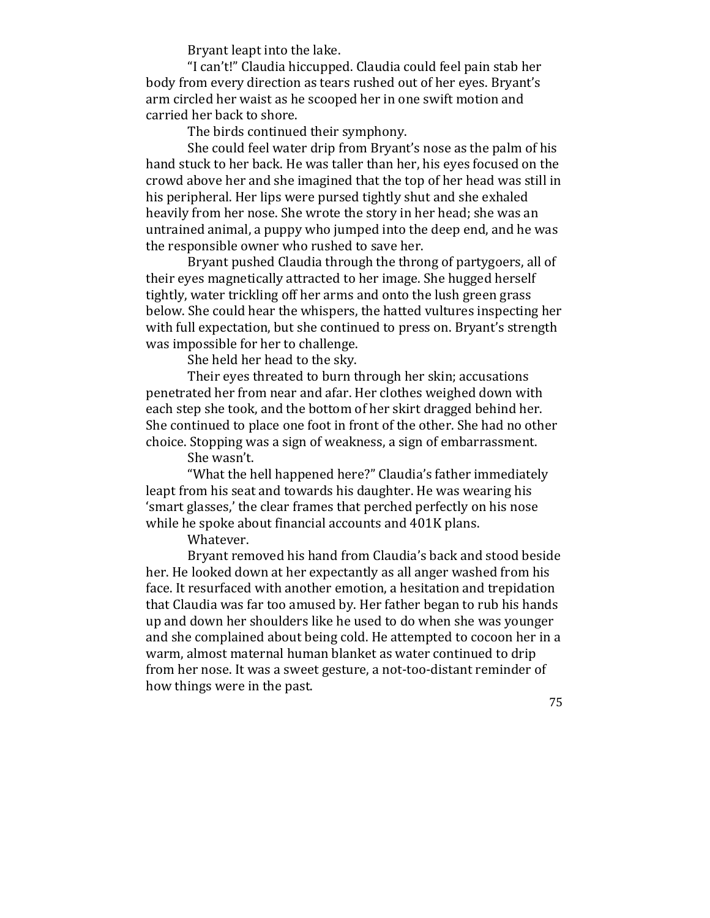Bryant leapt into the lake.

"I can't!" Claudia hiccupped. Claudia could feel pain stab her body from every direction as tears rushed out of her eyes. Bryant's arm circled her waist as he scooped her in one swift motion and carried her back to shore.

The birds continued their symphony.

She could feel water drip from Bryant's nose as the palm of his hand stuck to her back. He was taller than her, his eyes focused on the crowd above her and she imagined that the top of her head was still in his peripheral. Her lips were pursed tightly shut and she exhaled heavily from her nose. She wrote the story in her head; she was an untrained animal, a puppy who jumped into the deep end, and he was the responsible owner who rushed to save her.

Bryant pushed Claudia through the throng of partygoers, all of their eves magnetically attracted to her image. She hugged herself tightly, water trickling off her arms and onto the lush green grass below. She could hear the whispers, the hatted vultures inspecting her with full expectation, but she continued to press on. Bryant's strength was impossible for her to challenge.

She held her head to the sky.

Their eyes threated to burn through her skin; accusations penetrated her from near and afar. Her clothes weighed down with each step she took, and the bottom of her skirt dragged behind her. She continued to place one foot in front of the other. She had no other choice. Stopping was a sign of weakness, a sign of embarrassment.

She wasn't.

"What the hell happened here?" Claudia's father immediately leapt from his seat and towards his daughter. He was wearing his 'smart glasses,' the clear frames that perched perfectly on his nose while he spoke about financial accounts and 401K plans.

Whatever.

Bryant removed his hand from Claudia's back and stood beside her. He looked down at her expectantly as all anger washed from his face. It resurfaced with another emotion, a hesitation and trepidation that Claudia was far too amused by. Her father began to rub his hands up and down her shoulders like he used to do when she was younger and she complained about being cold. He attempted to cocoon her in a warm, almost maternal human blanket as water continued to drip from her nose. It was a sweet gesture, a not-too-distant reminder of how things were in the past.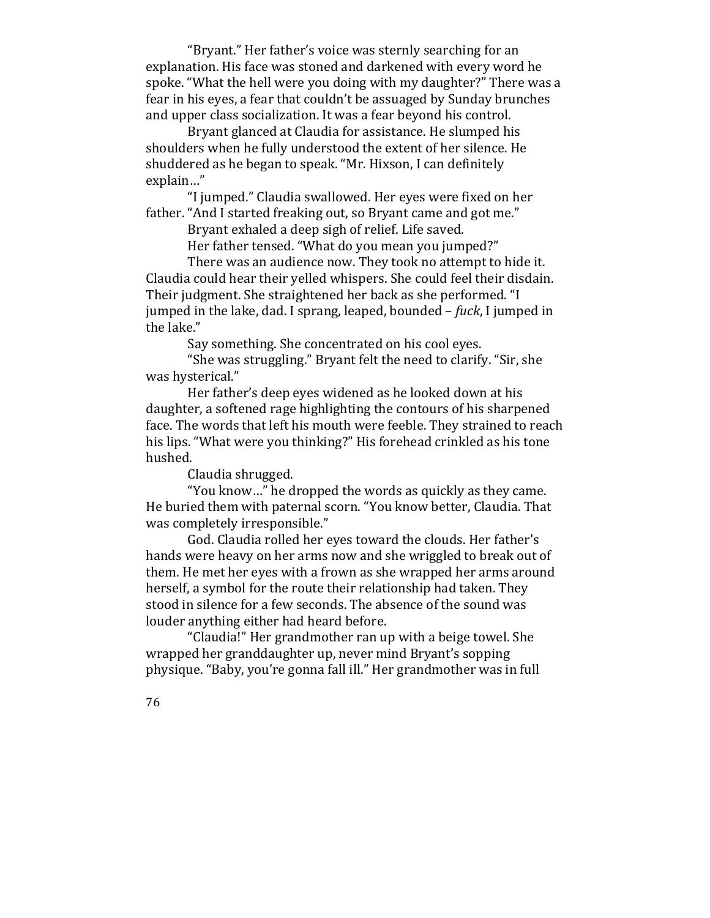"Bryant." Her father's voice was sternly searching for an explanation. His face was stoned and darkened with every word he spoke. "What the hell were you doing with my daughter?" There was a fear in his eyes, a fear that couldn't be assuaged by Sunday brunches and upper class socialization. It was a fear beyond his control.

Bryant glanced at Claudia for assistance. He slumped his shoulders when he fully understood the extent of her silence. He shuddered as he began to speak. "Mr. Hixson, I can definitely explain…"

"I jumped." Claudia swallowed. Her eyes were fixed on her father. "And I started freaking out, so Bryant came and got me."

Bryant exhaled a deep sigh of relief. Life saved.

Her father tensed. "What do you mean you jumped?"

There was an audience now. They took no attempt to hide it. Claudia could hear their velled whispers. She could feel their disdain. Their judgment. She straightened her back as she performed. "I jumped in the lake, dad. I sprang, leaped, bounded – *fuck*, I jumped in the lake."

Say something. She concentrated on his cool eyes.

"She was struggling." Bryant felt the need to clarify. "Sir, she was hysterical."

Her father's deep eyes widened as he looked down at his daughter, a softened rage highlighting the contours of his sharpened face. The words that left his mouth were feeble. They strained to reach his lips. "What were you thinking?" His forehead crinkled as his tone hushed. 

Claudia shrugged.

"You know..." he dropped the words as quickly as they came. He buried them with paternal scorn. "You know better, Claudia. That was completely irresponsible."

God. Claudia rolled her eyes toward the clouds. Her father's hands were heavy on her arms now and she wriggled to break out of them. He met her eyes with a frown as she wrapped her arms around herself, a symbol for the route their relationship had taken. They stood in silence for a few seconds. The absence of the sound was louder anything either had heard before.

"Claudia!" Her grandmother ran up with a beige towel. She wrapped her granddaughter up, never mind Bryant's sopping physique. "Baby, you're gonna fall ill." Her grandmother was in full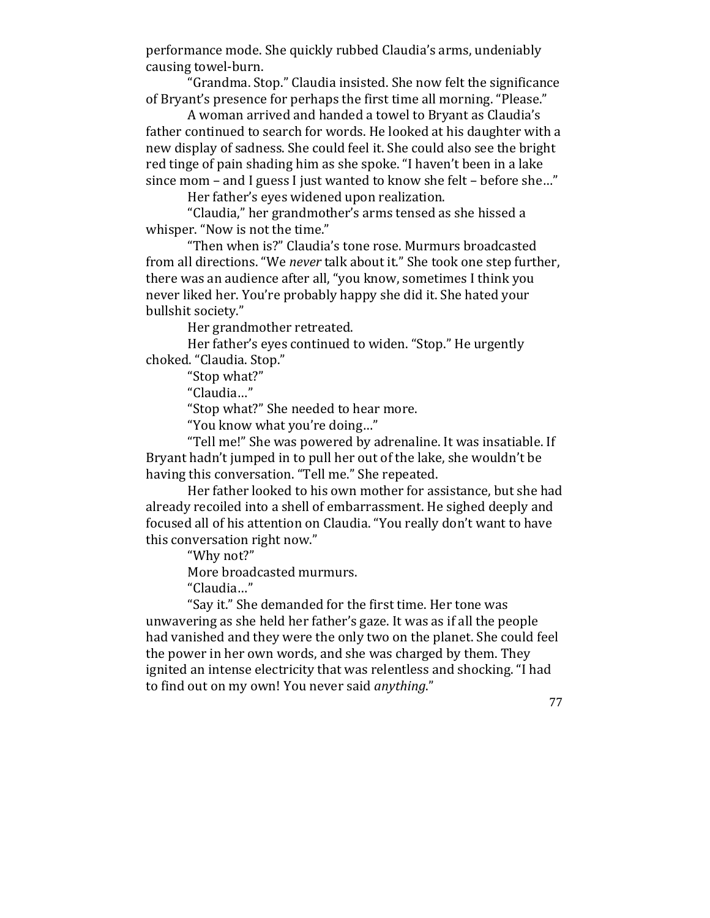performance mode. She quickly rubbed Claudia's arms, undeniably causing towel-burn.

"Grandma. Stop." Claudia insisted. She now felt the significance of Bryant's presence for perhaps the first time all morning. "Please."

A woman arrived and handed a towel to Bryant as Claudia's father continued to search for words. He looked at his daughter with a new display of sadness. She could feel it. She could also see the bright red tinge of pain shading him as she spoke. "I haven't been in a lake since mom – and I guess I just wanted to know she felt – before she..."

Her father's eyes widened upon realization.

"Claudia," her grandmother's arms tensed as she hissed a whisper. "Now is not the time."

"Then when is?" Claudia's tone rose. Murmurs broadcasted from all directions. "We never talk about it." She took one step further, there was an audience after all, "you know, sometimes I think you never liked her. You're probably happy she did it. She hated your bullshit society."

Her grandmother retreated.

Her father's eyes continued to widen. "Stop." He urgently choked. "Claudia. Stop."

"Stop what?"

"Claudia…"

"Stop what?" She needed to hear more.

"You know what you're doing..."

"Tell me!" She was powered by adrenaline. It was insatiable. If Bryant hadn't jumped in to pull her out of the lake, she wouldn't be having this conversation. "Tell me." She repeated.

Her father looked to his own mother for assistance, but she had already recoiled into a shell of embarrassment. He sighed deeply and focused all of his attention on Claudia. "You really don't want to have this conversation right now."

"Why not?"

More broadcasted murmurs.

"Claudia…"

"Say it." She demanded for the first time. Her tone was unwavering as she held her father's gaze. It was as if all the people had vanished and they were the only two on the planet. She could feel the power in her own words, and she was charged by them. They ignited an intense electricity that was relentless and shocking. "I had to find out on my own! You never said *anything*."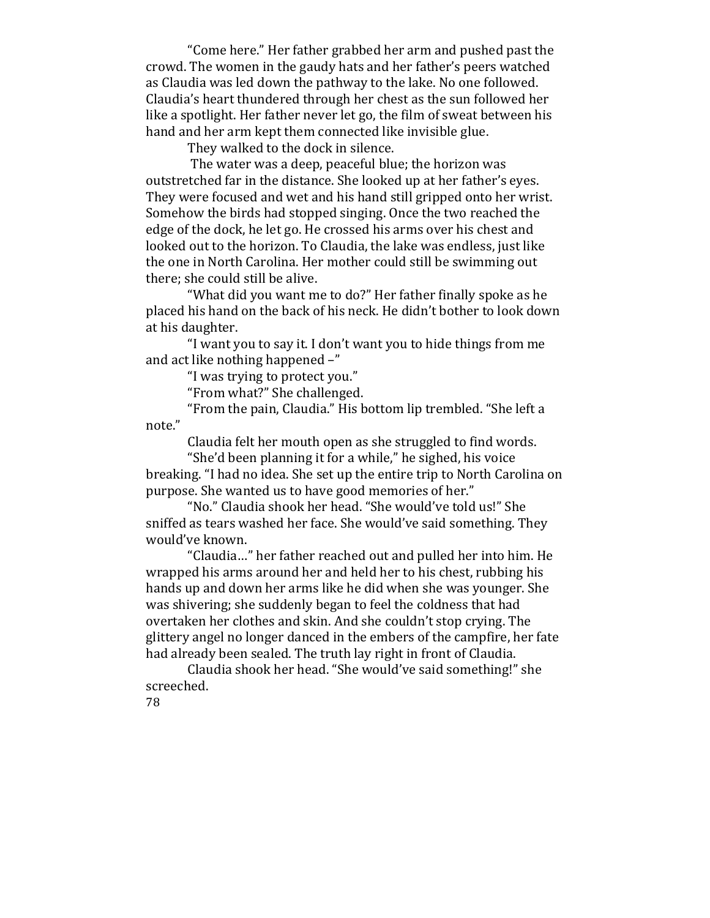"Come here." Her father grabbed her arm and pushed past the crowd. The women in the gaudy hats and her father's peers watched as Claudia was led down the pathway to the lake. No one followed. Claudia's heart thundered through her chest as the sun followed her like a spotlight. Her father never let go, the film of sweat between his hand and her arm kept them connected like invisible glue.

They walked to the dock in silence.

The water was a deep, peaceful blue; the horizon was outstretched far in the distance. She looked up at her father's eyes. They were focused and wet and his hand still gripped onto her wrist. Somehow the birds had stopped singing. Once the two reached the edge of the dock, he let go. He crossed his arms over his chest and looked out to the horizon. To Claudia, the lake was endless, just like the one in North Carolina. Her mother could still be swimming out there; she could still be alive.

"What did you want me to do?" Her father finally spoke as he placed his hand on the back of his neck. He didn't bother to look down at his daughter.

"I want you to say it. I don't want you to hide things from me and act like nothing happened  $-$ "

"I was trying to protect you."

"From what?" She challenged.

"From the pain, Claudia." His bottom lip trembled. "She left a note."

Claudia felt her mouth open as she struggled to find words.

"She'd been planning it for a while," he sighed, his voice breaking. "I had no idea. She set up the entire trip to North Carolina on purpose. She wanted us to have good memories of her."

"No." Claudia shook her head. "She would've told us!" She sniffed as tears washed her face. She would've said something. They would've known.

"Claudia..." her father reached out and pulled her into him. He wrapped his arms around her and held her to his chest, rubbing his hands up and down her arms like he did when she was younger. She was shivering; she suddenly began to feel the coldness that had overtaken her clothes and skin. And she couldn't stop crying. The glittery angel no longer danced in the embers of the campfire, her fate had already been sealed. The truth lay right in front of Claudia.

Claudia shook her head. "She would've said something!" she screeched.